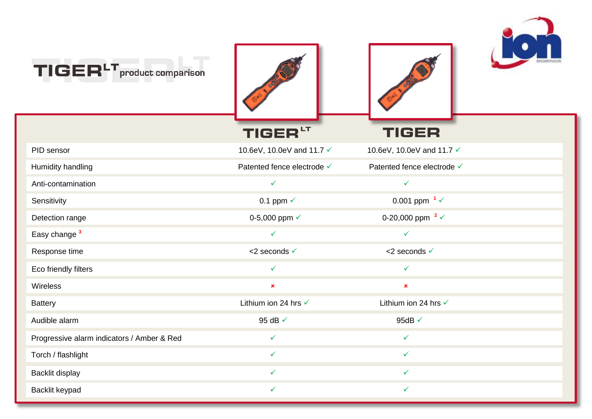

| TIGER <sup>LT</sup> product comparison     |                            |                             |  |
|--------------------------------------------|----------------------------|-----------------------------|--|
|                                            | TIGER <sup>LT</sup>        | <b>TIGER</b>                |  |
| PID sensor                                 | 10.6eV, 10.0eV and 11.7 √  | 10.6eV, 10.0eV and 11.7 √   |  |
| Humidity handling                          | Patented fence electrode V | Patented fence electrode √  |  |
| Anti-contamination                         | $\checkmark$               | ✓                           |  |
| Sensitivity                                | 0.1 ppm $\checkmark$       | 0.001 ppm $1\sqrt{ }$       |  |
| Detection range                            | 0-5,000 ppm √              | 0-20,000 ppm $2 \checkmark$ |  |
| Easy change <sup>3</sup>                   | $\checkmark$               | $\checkmark$                |  |
| Response time                              | <2 seconds √               | <2 seconds √                |  |
| Eco friendly filters                       | $\checkmark$               | $\checkmark$                |  |
| Wireless                                   | $\pmb{\times}$             | $\pmb{\times}$              |  |
| <b>Battery</b>                             | Lithium ion 24 hrs √       | Lithium ion 24 hrs √        |  |
| Audible alarm                              | 95 dB √                    | 95dB $\checkmark$           |  |
| Progressive alarm indicators / Amber & Red | $\checkmark$               | $\checkmark$                |  |
| Torch / flashlight                         | $\checkmark$               | $\checkmark$                |  |
| Backlit display                            | ✓                          | ✓                           |  |
| Backlit keypad                             | ✓                          | $\checkmark$                |  |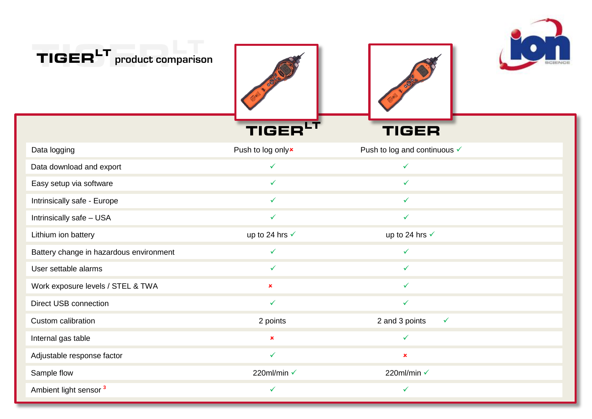

| TIGER'<br>product comparison            |                   |                                |
|-----------------------------------------|-------------------|--------------------------------|
|                                         | TIGEI             | TIGER                          |
| Data logging                            | Push to log onlyx | Push to log and continuous √   |
| Data download and export                | $\checkmark$      | $\checkmark$                   |
| Easy setup via software                 | $\checkmark$      | $\checkmark$                   |
| Intrinsically safe - Europe             | ✓                 | $\checkmark$                   |
| Intrinsically safe - USA                | ✓                 | ✓                              |
| Lithium ion battery                     | up to 24 hrs √    | up to 24 hrs √                 |
| Battery change in hazardous environment | $\checkmark$      | $\checkmark$                   |
| User settable alarms                    | $\checkmark$      | $\checkmark$                   |
| Work exposure levels / STEL & TWA       | ×                 | ✓                              |
| Direct USB connection                   | $\checkmark$      | $\checkmark$                   |
| Custom calibration                      | 2 points          | 2 and 3 points<br>$\checkmark$ |
| Internal gas table                      | $\pmb{\times}$    | $\checkmark$                   |
| Adjustable response factor              | $\checkmark$      | $\pmb{\times}$                 |
| Sample flow                             | 220ml/min √       | 220ml/min √                    |
| Ambient light sensor <sup>3</sup>       | ✓                 | $\checkmark$                   |